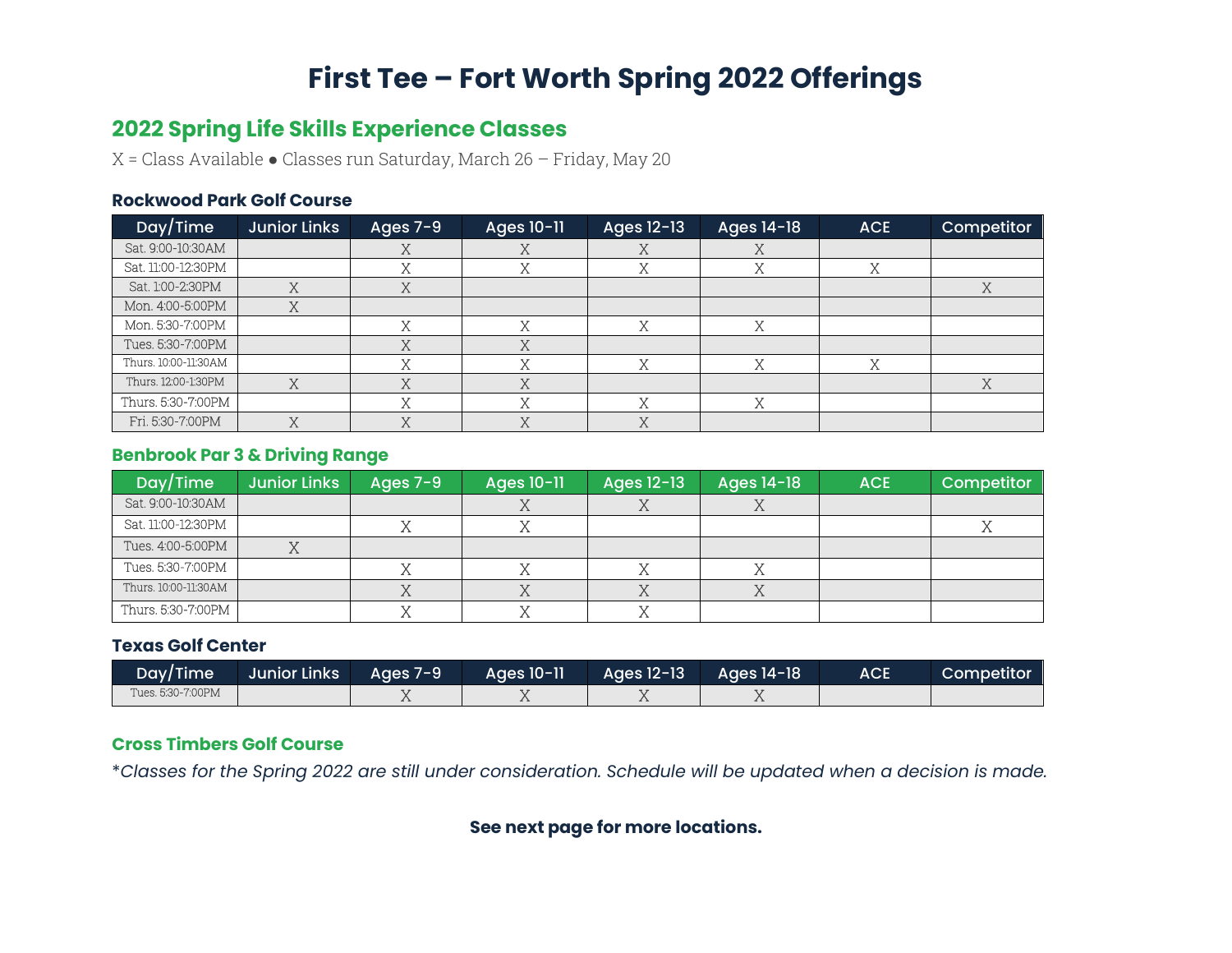## **First Tee – Fort Worth Spring 2022 Offerings**

### **2022 Spring Life Skills Experience Classes**

X = Class Available ● Classes run Saturday, March 26 – Friday, May 20

#### **Rockwood Park Golf Course**

| Day/Time             | <b>Junior Links</b> | Ages 7-9 | Ages 10-11 | Ages 12-13  | Ages 14-18 | <b>ACE</b> | Competitor |
|----------------------|---------------------|----------|------------|-------------|------------|------------|------------|
| Sat. 9:00-10:30AM    |                     |          |            | $\Lambda$   | A          |            |            |
| Sat. 11:00-12:30PM   |                     |          |            | ٦,          |            | 37         |            |
| Sat. 1:00-2:30PM     | 77                  |          |            |             |            |            | ヽァ         |
| Mon. 4:00-5:00PM     | $\tau$              |          |            |             |            |            |            |
| Mon. 5:30-7:00PM     |                     |          |            | $\mathbf v$ |            |            |            |
| Tues, 5:30-7:00PM    |                     |          |            |             |            |            |            |
| Thurs. 10:00-11:30AM |                     |          | $\tau$     | $\tau$      | v          | ヽァ         |            |
| Thurs. 12:00-1:30PM  | Χ                   |          |            |             |            |            | Χ          |
| Thurs. 5:30-7:00PM   |                     |          |            | $\tau$      |            |            |            |
| Fri. 5:30-7:00PM     | Χ                   |          |            | $\tau$<br>л |            |            |            |

#### **Benbrook Par 3 & Driving Range**

| Day/Time             | <b>Junior Links</b> | Ages $7-9$ | Ages 10-11 | Ages 12-13 | Ages 14-18 | <b>ACE</b> | Competitor |
|----------------------|---------------------|------------|------------|------------|------------|------------|------------|
| Sat. 9:00-10:30AM    |                     |            |            |            |            |            |            |
| Sat. 11:00-12:30PM   |                     |            |            |            |            |            |            |
| Tues. 4:00-5:00PM    |                     |            |            |            |            |            |            |
| Tues. 5:30-7:00PM    |                     |            |            |            |            |            |            |
| Thurs. 10:00-11:30AM |                     |            |            |            |            |            |            |
| Thurs. 5:30-7:00PM   |                     |            |            |            |            |            |            |

#### **Texas Golf Center**

| Day/Time          | Uunior Links | Ages 7-9 | Ages 10-11 | Ages 12-13 | Ages 14-18 | <b>ACE</b> | Competitor |
|-------------------|--------------|----------|------------|------------|------------|------------|------------|
| Tues. 5:30-7:00PM |              |          |            |            |            |            |            |

#### **Cross Timbers Golf Course**

\**Classes for the Spring 2022 are still under consideration. Schedule will be updated when a decision is made.*

#### **See next page for more locations.**